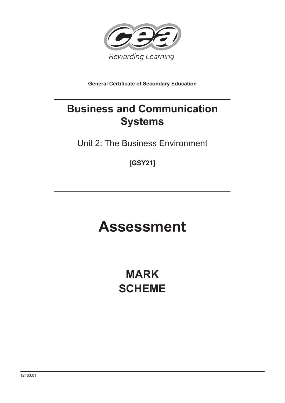

**General Certificate of Secondary Education** 

# **Business and Communication Systems**

Unit 2: The Business Environment

**[GSY21]**

# **Assessment**

**MARK SCHEME**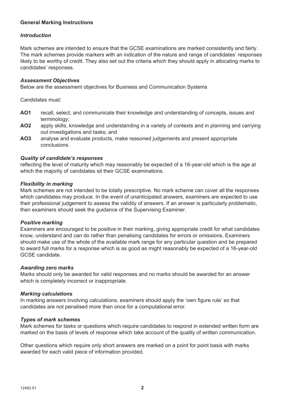# **General Marking Instructions**

#### *Introduction*

Mark schemes are intended to ensure that the GCSE examinations are marked consistently and fairly. The mark schemes provide markers with an indication of the nature and range of candidates' responses likely to be worthy of credit. They also set out the criteria which they should apply in allocating marks to candidates' responses.

#### *Assessment Objectives*

Below are the assessment objectives for Business and Communication Systems

Candidates must:

- **AO1** recall, select, and communicate their knowledge and understanding of concepts, issues and terminology;
- **AO2** apply skills, knowledge and understanding in a variety of contexts and in planning and carrying out investigations and tasks; and
- **AO3** analyse and evaluate products, make reasoned judgements and present appropriate conclusions.

#### *Quality of candidate's responses*

reflecting the level of maturity which may reasonably be expected of a 16-year-old which is the age at which the majority of candidates sit their GCSE examinations.

#### *Flexibility in marking*

Mark schemes are not intended to be totally prescriptive. No mark scheme can cover all the responses which candidates may produce. In the event of unanticipated answers, examiners are expected to use their professional judgement to assess the validity of answers. If an answer is particularly problematic, then examiners should seek the guidance of the Supervising Examiner.

#### *Positive marking*

Examiners are encouraged to be positive in their marking, giving appropriate credit for what candidates know, understand and can do rather than penalising candidates for errors or omissions. Examiners should make use of the whole of the available mark range for any particular question and be prepared to award full marks for a response which is as good as might reasonably be expected of a 16-year-old GCSE candidate.

#### *Awarding zero marks*

Marks should only be awarded for valid responses and no marks should be awarded for an answer which is completely incorrect or inappropriate.

#### *Marking calculations*

In marking answers involving calculations, examiners should apply the 'own figure rule' so that candidates are not penalised more than once for a computational error.

#### *Types of mark schemes*

Mark schemes for tasks or questions which require candidates to respond in extended written form are marked on the basis of levels of response which take account of the quality of written communication.

Other questions which require only short answers are marked on a point for point basis with marks awarded for each valid piece of information provided.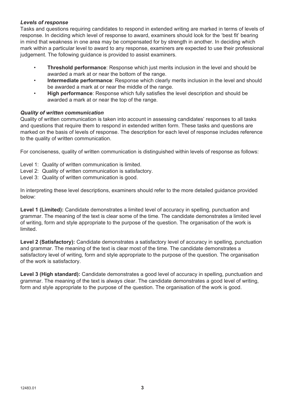# *Levels of response*

Tasks and questions requiring candidates to respond in extended writing are marked in terms of levels of response. In deciding which level of response to award, examiners should look for the 'best fit' bearing in mind that weakness in one area may be compensated for by strength in another. In deciding which mark within a particular level to award to any response, examiners are expected to use their professional judgement. The following guidance is provided to assist examiners.

- **Threshold performance**: Response which just merits inclusion in the level and should be awarded a mark at or near the bottom of the range.
- **Intermediate performance**: Response which clearly merits inclusion in the level and should be awarded a mark at or near the middle of the range.
- **High performance**: Response which fully satisfies the level description and should be awarded a mark at or near the top of the range.

## *Quality of written communication*

Quality of written communication is taken into account in assessing candidates' responses to all tasks and questions that require them to respond in extended written form. These tasks and questions are marked on the basis of levels of response. The description for each level of response includes reference to the quality of written communication.

For conciseness, quality of written communication is distinguished within levels of response as follows:

- Level 1: Quality of written communication is limited.
- Level 2: Quality of written communication is satisfactory.
- Level 3: Quality of written communication is good.

In interpreting these level descriptions, examiners should refer to the more detailed guidance provided below:

Level 1 (Limited): Candidate demonstrates a limited level of accuracy in spelling, punctuation and grammar. The meaning of the text is clear some of the time. The candidate demonstrates a limited level of writing, form and style appropriate to the purpose of the question. The organisation of the work is limited.

Level 2 (Satisfactory): Candidate demonstrates a satisfactory level of accuracy in spelling, punctuation and grammar. The meaning of the text is clear most of the time. The candidate demonstrates a satisfactory level of writing, form and style appropriate to the purpose of the question. The organisation of the work is satisfactory.

**Level 3 (High standard):** Candidate demonstrates a good level of accuracy in spelling, punctuation and grammar. The meaning of the text is always clear. The candidate demonstrates a good level of writing, form and style appropriate to the purpose of the question. The organisation of the work is good.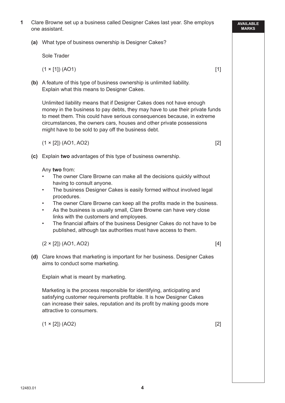**(a)** What type of business ownership is Designer Cakes?

Sole Trader

 $(1 \times [1]) (AO1)$  [1]

 **(b)** A feature of this type of business ownership is unlimited liability. Explain what this means to Designer Cakes.

 Unlimited liability means that if Designer Cakes does not have enough money in the business to pay debts, they may have to use their private funds to meet them. This could have serious consequences because, in extreme circumstances, the owners cars, houses and other private possessions might have to be sold to pay off the business debt.

 $(1 \times [2])$  (AO1, AO2) [2]

 **(c)** Explain **two** advantages of this type of business ownership.

Any **two** from:

- The owner Clare Browne can make all the decisions quickly without having to consult anyone.
- The business Designer Cakes is easily formed without involved legal procedures.
- The owner Clare Browne can keep all the profits made in the business.
- As the business is usually small, Clare Browne can have very close links with the customers and employees.
- The financial affairs of the business Designer Cakes do not have to be published, although tax authorities must have access to them.

 $(2 \times [2])$  (AO1, AO2) [4]

 **(d)** Clare knows that marketing is important for her business. Designer Cakes aims to conduct some marketing.

Explain what is meant by marketing.

 Marketing is the process responsible for identifying, anticipating and satisfying customer requirements profitable. It is how Designer Cakes can increase their sales, reputation and its profit by making goods more attractive to consumers.

 $(1 \times [2]) (AO2)$  [2]

**AVAILABLE MARKS**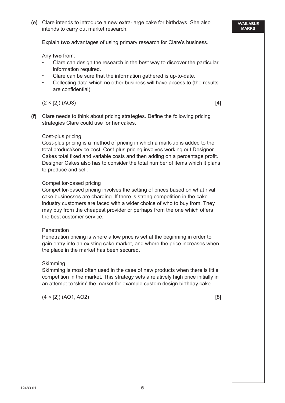Explain **two** advantages of using primary research for Clare's business.

Any **two** from:

- Clare can design the research in the best way to discover the particular information required.
- Clare can be sure that the information gathered is up-to-date.
- Collecting data which no other business will have access to (the results are confidential).

 $(2 \times [2]) (AO3)$  [4]

**(f)** Clare needs to think about pricing strategies. Define the following pricing strategies Clare could use for her cakes.

#### Cost-plus pricing

 Cost-plus pricing is a method of pricing in which a mark-up is added to the total product/service cost. Cost-plus pricing involves working out Designer Cakes total fixed and variable costs and then adding on a percentage profit. Designer Cakes also has to consider the total number of items which it plans to produce and sell.

## Competitor-based pricing

 Competitor-based pricing involves the setting of prices based on what rival cake businesses are charging. If there is strong competition in the cake industry customers are faced with a wider choice of who to buy from. They may buy from the cheapest provider or perhaps from the one which offers the best customer service.

#### **Penetration**

 Penetration pricing is where a low price is set at the beginning in order to gain entry into an existing cake market, and where the price increases when the place in the market has been secured.

#### Skimming

 Skimming is most often used in the case of new products when there is little competition in the market. This strategy sets a relatively high price initially in an attempt to 'skim' the market for example custom design birthday cake.

 $(4 \times [2])$  (AO1, AO2) [8]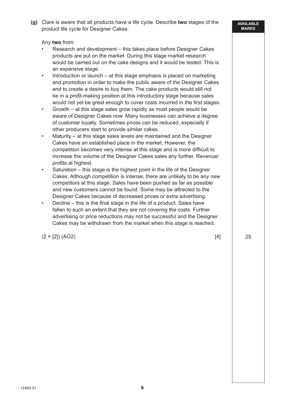Any **two** from:

- Research and development this takes place before Designer Cakes products are put on the market. During this stage market research would be carried out on the cake designs and it would be tested. This is an expensive stage.
- Introduction or launch at this stage emphasis is placed on marketing and promotion in order to make the public aware of the Designer Cakes and to create a desire to buy them. The cake products would still not be in a profit-making position at this introductory stage because sales would not yet be great enough to cover costs incurred in the first stages.
- Growth at this stage sales grow rapidly as most people would be aware of Designer Cakes now. Many businesses can achieve a degree of customer loyalty. Sometimes prices can be reduced, especially if other producers start to provide similar cakes.
- Maturity at this stage sales levels are maintained and the Designer Cakes have an established place in the market. However, the competition becomes very intense at this stage and is more difficult to increase the volume of the Designer Cakes sales any further. Revenue/ profits at highest.
- Saturation this stage is the highest point in the life of the Designer Cakes. Although competition is intense, there are unlikely to be any new competitors at this stage. Sales have been pushed as far as possible and new customers cannot be found. Some may be attracted to the Designer Cakes because of decreased prices or extra advertising.
- Decline this is the final stage in the life of a product. Sales have fallen to such an extent that they are not covering the costs. Further advertising or price reductions may not be successful and the Designer Cakes may be withdrawn from the market when this stage is reached.

 $(2 \times [2]) (AO2)$  [4]

25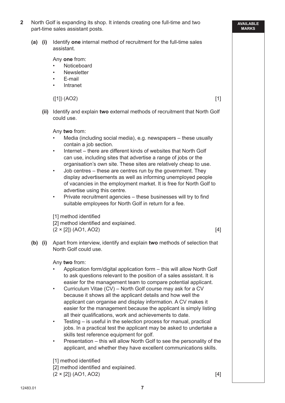| $(a)$ (i) |      | Identify one internal method of recruitment for the full-time sales<br>assistant.                                                                                                                                                                                                                                                                                                                                                                                                                                                                                                                                                                                                                                                                                                                                                                                                                                                                                           |  |
|-----------|------|-----------------------------------------------------------------------------------------------------------------------------------------------------------------------------------------------------------------------------------------------------------------------------------------------------------------------------------------------------------------------------------------------------------------------------------------------------------------------------------------------------------------------------------------------------------------------------------------------------------------------------------------------------------------------------------------------------------------------------------------------------------------------------------------------------------------------------------------------------------------------------------------------------------------------------------------------------------------------------|--|
|           |      | Any one from:<br>Noticeboard<br><b>Newsletter</b><br>$\bullet$<br>E-mail<br>$\bullet$<br>Intranet<br>$\bullet$                                                                                                                                                                                                                                                                                                                                                                                                                                                                                                                                                                                                                                                                                                                                                                                                                                                              |  |
|           |      | ([1]) (AO2)<br>$[1]$                                                                                                                                                                                                                                                                                                                                                                                                                                                                                                                                                                                                                                                                                                                                                                                                                                                                                                                                                        |  |
|           | (ii) | Identify and explain two external methods of recruitment that North Golf<br>could use.                                                                                                                                                                                                                                                                                                                                                                                                                                                                                                                                                                                                                                                                                                                                                                                                                                                                                      |  |
| $(b)$ (i) |      | Any two from:<br>Media (including social media), e.g. newspapers – these usually<br>contain a job section.<br>Internet – there are different kinds of websites that North Golf<br>$\bullet$<br>can use, including sites that advertise a range of jobs or the<br>organisation's own site. These sites are relatively cheap to use.<br>Job centres – these are centres run by the government. They<br>$\bullet$<br>display advertisements as well as informing unemployed people<br>of vacancies in the employment market. It is free for North Golf to<br>advertise using this centre.<br>Private recruitment agencies - these businesses will try to find<br>$\bullet$<br>suitable employees for North Golf in return for a fee.<br>[1] method identified<br>[2] method identified and explained.<br>$(2 \times [2])$ (AO1, AO2)<br>$[4]$<br>Apart from interview, identify and explain two methods of selection that<br>North Golf could use.                             |  |
|           |      | Any two from:<br>Application form/digital application form – this will allow North Golf<br>to ask questions relevant to the position of a sales assistant. It is<br>easier for the management team to compare potential applicant.<br>Curriculum Vitae (CV) – North Golf course may ask for a CV<br>$\bullet$<br>because it shows all the applicant details and how well the<br>applicant can organise and display information. A CV makes it<br>easier for the management because the applicant is simply listing<br>all their qualifications, work and achievements to date.<br>Testing – is useful in the selection process for manual, practical<br>$\bullet$<br>jobs. In a practical test the applicant may be asked to undertake a<br>skills test reference equipment for golf.<br>Presentation – this will allow North Golf to see the personality of the<br>$\bullet$<br>applicant, and whether they have excellent communications skills.<br>[1] method identified |  |

12483.01

**7**

**AVAILABLE MARKS**

# **2** North Golf is expanding its shop. It intends creating one full-time and two part-time sales assistant posts.

# **(a) (i)** Identify **one** internal method of recruitment for the full-time sales

[2] method identified and explained.  $(2 \times [2])$  (AO1, AO2) [4]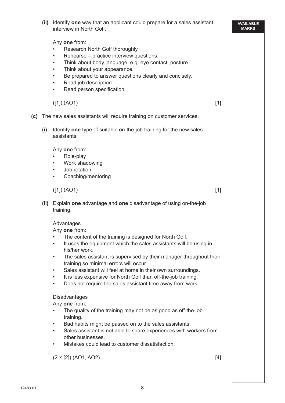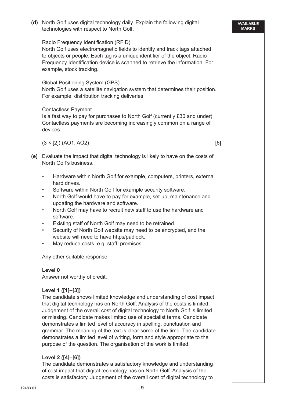**MARKS** technologies with respect to North Golf. Radio Frequency Identification (RFID) North Golf uses electromagnetic fields to identify and track tags attached to objects or people. Each tag is a unique identifier of the object. Radio Frequency Identification device is scanned to retrieve the information. For example, stock tracking. Global Positioning System (GPS) North Golf uses a satellite navigation system that determines their position. For example, distribution tracking deliveries. Contactless Payment Is a fast way to pay for purchases to North Golf (currently £30 and under). Contactless payments are becoming increasingly common on a range of devices.  $(3 \times [2])$  (AO1, AO2) [6]  **(e)** Evaluate the impact that digital technology is likely to have on the costs of North Golf's business. • Hardware within North Golf for example, computers, printers, external hard drives. Software within North Golf for example security software. • North Golf would have to pay for example, set-up, maintenance and updating the hardware and software. • North Golf may have to recruit new staff to use the hardware and software. Existing staff of North Golf may need to be retrained. Security of North Golf website may need to be encrypted, and the website will need to have https/padlock. May reduce costs, e.g. staff, premises. Any other suitable response.  **Level 0** Answer not worthy of credit.  **Level 1 ([1]–[3])** The candidate shows limited knowledge and understanding of cost impact that digital technology has on North Golf. Analysis of the costs is limited. Judgement of the overall cost of digital technology to North Golf is limited or missing. Candidate makes limited use of specialist terms. Candidate demonstrates a limited level of accuracy in spelling, punctuation and grammar. The meaning of the text is clear some of the time. The candidate demonstrates a limited level of writing, form and style appropriate to the purpose of the question. The organisation of the work is limited.  **Level 2 ([4]–[6])** The candidate demonstrates a satisfactory knowledge and understanding of cost impact that digital technology has on North Golf. Analysis of the

 **(d)** North Golf uses digital technology daily. Explain the following digital

**AVAILABLE** 

costs is satisfactory. Judgement of the overall cost of digital technology to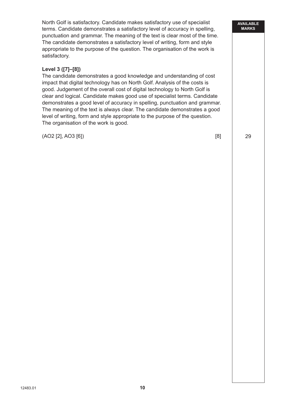North Golf is satisfactory. Candidate makes satisfactory use of specialist terms. Candidate demonstrates a satisfactory level of accuracy in spelling, punctuation and grammar. The meaning of the text is clear most of the time. The candidate demonstrates a satisfactory level of writing, form and style appropriate to the purpose of the question. The organisation of the work is satisfactory.

# **Level 3 ([7]–[8])**

 The candidate demonstrates a good knowledge and understanding of cost impact that digital technology has on North Golf. Analysis of the costs is good. Judgement of the overall cost of digital technology to North Golf is clear and logical. Candidate makes good use of specialist terms. Candidate demonstrates a good level of accuracy in spelling, punctuation and grammar. The meaning of the text is always clear. The candidate demonstrates a good level of writing, form and style appropriate to the purpose of the question. The organisation of the work is good.

(AO2 [2], AO3 [6]) [8]

**AVAILABLE MARKS**

29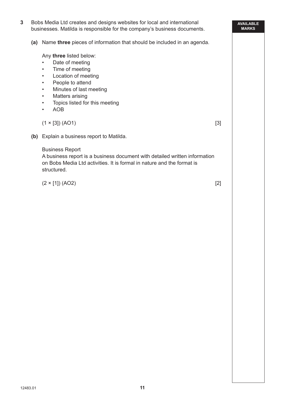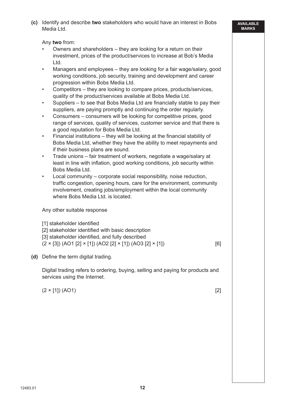**(c)** Identify and describe **two** stakeholders who would have an interest in Bobs Media Ltd.

Any **two** from:

- Owners and shareholders they are looking for a return on their investment, prices of the product/services to increase at Bob's Media Ltd.
- Managers and employees they are looking for a fair wage/salary, good working conditions, job security, training and development and career progression within Bobs Media Ltd.
- Competitors they are looking to compare prices, products/services, quality of the product/services available at Bobs Media Ltd.
- Suppliers to see that Bobs Media Ltd are financially stable to pay their suppliers, are paying promptly and continuing the order regularly.
- Consumers consumers will be looking for competitive prices, good range of services, quality of services, customer service and that there is a good reputation for Bobs Media Ltd.
- $\cdot$  Financial institutions they will be looking at the financial stability of Bobs Media Ltd, whether they have the ability to meet repayments and if their business plans are sound.
- Trade unions fair treatment of workers, negotiate a wage/salary at least in line with inflation, good working conditions, job security within Bobs Media Ltd.
- Local community corporate social responsibility, noise reduction, traffic congestion, opening hours, care for the environment, community involvement, creating jobs/employment within the local community where Bobs Media Ltd. is located.

Any other suitable response

[1] stakeholder identified [2] stakeholder identified with basic description [3] stakeholder identified, and fully described  $(2 \times [3])$  (AO1 [2]  $\times$  [1]) (AO2 [2]  $\times$  [1]) (AO3 [2]  $\times$  [1]) [6]

**(d)** Define the term digital trading.

 Digital trading refers to ordering, buying, selling and paying for products and services using the Internet.

 $(2 \times [1]) (AO1)$  [2]

**AVAILABLE MARKS**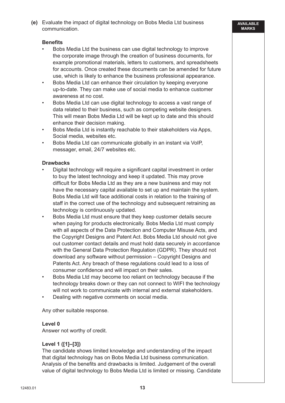**(e)** Evaluate the impact of digital technology on Bobs Media Ltd business communication.

#### **Benefits**

- Bobs Media Ltd the business can use digital technology to improve the corporate image through the creation of business documents, for example promotional materials, letters to customers, and spreadsheets for accounts. Once created these documents can be amended for future use, which is likely to enhance the business professional appearance.
- Bobs Media Ltd can enhance their circulation by keeping everyone up-to-date. They can make use of social media to enhance customer awareness at no cost.
- Bobs Media Ltd can use digital technology to access a vast range of data related to their business, such as competing website designers. This will mean Bobs Media Ltd will be kept up to date and this should enhance their decision making.
- Bobs Media Ltd is instantly reachable to their stakeholders via Apps, Social media, websites etc.
- Bobs Media Ltd can communicate globally in an instant via VoIP, messager, email, 24/7 websites etc.

#### **Drawbacks**

- Digital technology will require a significant capital investment in order to buy the latest technology and keep it updated. This may prove difficult for Bobs Media Ltd as they are a new business and may not have the necessary capital available to set up and maintain the system. Bobs Media Ltd will face additional costs in relation to the training of staff in the correct use of the technology and subsequent retraining as technology is continuously updated.
- Bobs Media Ltd must ensure that they keep customer details secure when paying for products electronically. Bobs Media Ltd must comply with all aspects of the Data Protection and Computer Misuse Acts, and the Copyright Designs and Patent Act. Bobs Media Ltd should not give out customer contact details and must hold data securely in accordance with the General Data Protection Regulation (GDPR). They should not download any software without permission – Copyright Designs and Patents Act. Any breach of these regulations could lead to a loss of consumer confidence and will impact on their sales.
- Bobs Media Ltd may become too reliant on technology because if the technology breaks down or they can not connect to WIFI the technology will not work to communicate with internal and external stakeholders.
- Dealing with negative comments on social media.

Any other suitable response.

#### **Level 0**

Answer not worthy of credit.

#### **Level 1 ([1]–[3])**

 The candidate shows limited knowledge and understanding of the impact that digital technology has on Bobs Media Ltd business communication. Analysis of the benefits and drawbacks is limited. Judgement of the overall value of digital technology to Bobs Media Ltd is limited or missing. Candidate